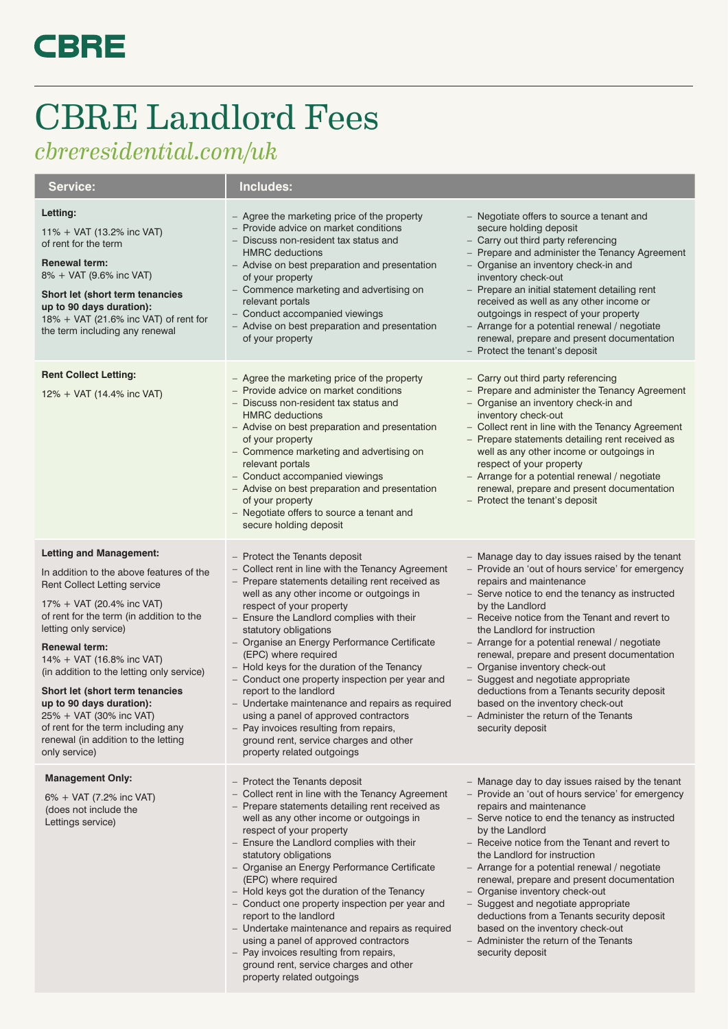## **CBRE**

## CBRE Landlord Fees

*cbreresidential.com/uk*

| <b>Service:</b>                                                                                                                                                                                                                                                                                                                                                                                                                                                                                               | Includes:                                                                                                                                                                                                                                                                                                                                                                                                                                                                                                                                                                                                                                                                                            |                                                                                                                                                                                                                                                                                                                                                                                                                                                                                                                                                                                                                 |
|---------------------------------------------------------------------------------------------------------------------------------------------------------------------------------------------------------------------------------------------------------------------------------------------------------------------------------------------------------------------------------------------------------------------------------------------------------------------------------------------------------------|------------------------------------------------------------------------------------------------------------------------------------------------------------------------------------------------------------------------------------------------------------------------------------------------------------------------------------------------------------------------------------------------------------------------------------------------------------------------------------------------------------------------------------------------------------------------------------------------------------------------------------------------------------------------------------------------------|-----------------------------------------------------------------------------------------------------------------------------------------------------------------------------------------------------------------------------------------------------------------------------------------------------------------------------------------------------------------------------------------------------------------------------------------------------------------------------------------------------------------------------------------------------------------------------------------------------------------|
| Letting:<br>11% + VAT (13.2% inc VAT)<br>of rent for the term<br><b>Renewal term:</b><br>8% + VAT (9.6% inc VAT)<br>Short let (short term tenancies<br>up to 90 days duration):<br>18% + VAT (21.6% inc VAT) of rent for<br>the term including any renewal                                                                                                                                                                                                                                                    | - Agree the marketing price of the property<br>- Provide advice on market conditions<br>- Discuss non-resident tax status and<br><b>HMRC</b> deductions<br>- Advise on best preparation and presentation<br>of your property<br>- Commence marketing and advertising on<br>relevant portals<br>- Conduct accompanied viewings<br>- Advise on best preparation and presentation<br>of your property                                                                                                                                                                                                                                                                                                   | - Negotiate offers to source a tenant and<br>secure holding deposit<br>- Carry out third party referencing<br>- Prepare and administer the Tenancy Agreement<br>- Organise an inventory check-in and<br>inventory check-out<br>- Prepare an initial statement detailing rent<br>received as well as any other income or<br>outgoings in respect of your property<br>- Arrange for a potential renewal / negotiate<br>renewal, prepare and present documentation<br>- Protect the tenant's deposit                                                                                                               |
| <b>Rent Collect Letting:</b><br>12% + VAT (14.4% inc VAT)                                                                                                                                                                                                                                                                                                                                                                                                                                                     | - Agree the marketing price of the property<br>- Provide advice on market conditions<br>- Discuss non-resident tax status and<br><b>HMRC</b> deductions<br>- Advise on best preparation and presentation<br>of your property<br>- Commence marketing and advertising on<br>relevant portals<br>- Conduct accompanied viewings<br>- Advise on best preparation and presentation<br>of your property<br>- Negotiate offers to source a tenant and<br>secure holding deposit                                                                                                                                                                                                                            | - Carry out third party referencing<br>- Prepare and administer the Tenancy Agreement<br>- Organise an inventory check-in and<br>inventory check-out<br>- Collect rent in line with the Tenancy Agreement<br>- Prepare statements detailing rent received as<br>well as any other income or outgoings in<br>respect of your property<br>- Arrange for a potential renewal / negotiate<br>renewal, prepare and present documentation<br>- Protect the tenant's deposit                                                                                                                                           |
| <b>Letting and Management:</b><br>In addition to the above features of the<br><b>Rent Collect Letting service</b><br>17% + VAT (20.4% inc VAT)<br>of rent for the term (in addition to the<br>letting only service)<br><b>Renewal term:</b><br>14% + VAT (16.8% inc VAT)<br>(in addition to the letting only service)<br>Short let (short term tenancies<br>up to 90 days duration):<br>25% + VAT (30% inc VAT)<br>of rent for the term including any<br>renewal (in addition to the letting<br>only service) | - Protect the Tenants deposit<br>- Collect rent in line with the Tenancy Agreement<br>- Prepare statements detailing rent received as<br>well as any other income or outgoings in<br>respect of your property<br>- Ensure the Landlord complies with their<br>statutory obligations<br>- Organise an Energy Performance Certificate<br>(EPC) where required<br>- Hold keys for the duration of the Tenancy<br>- Conduct one property inspection per year and<br>report to the landlord<br>- Undertake maintenance and repairs as required<br>using a panel of approved contractors<br>- Pay invoices resulting from repairs,<br>ground rent, service charges and other<br>property related outgoings | - Manage day to day issues raised by the tenant<br>- Provide an 'out of hours service' for emergency<br>repairs and maintenance<br>- Serve notice to end the tenancy as instructed<br>by the Landlord<br>- Receive notice from the Tenant and revert to<br>the Landlord for instruction<br>- Arrange for a potential renewal / negotiate<br>renewal, prepare and present documentation<br>- Organise inventory check-out<br>- Suggest and negotiate appropriate<br>deductions from a Tenants security deposit<br>based on the inventory check-out<br>- Administer the return of the Tenants<br>security deposit |
| <b>Management Only:</b><br>6% + VAT (7.2% inc VAT)<br>(does not include the<br>Lettings service)                                                                                                                                                                                                                                                                                                                                                                                                              | - Protect the Tenants deposit<br>- Collect rent in line with the Tenancy Agreement<br>- Prepare statements detailing rent received as<br>well as any other income or outgoings in<br>respect of your property<br>- Ensure the Landlord complies with their<br>statutory obligations<br>- Organise an Energy Performance Certificate<br>(EPC) where required<br>- Hold keys got the duration of the Tenancy<br>- Conduct one property inspection per year and<br>report to the landlord<br>- Undertake maintenance and repairs as required<br>using a panel of approved contractors<br>- Pay invoices resulting from repairs,<br>ground rent, service charges and other                               | - Manage day to day issues raised by the tenant<br>- Provide an 'out of hours service' for emergency<br>repairs and maintenance<br>- Serve notice to end the tenancy as instructed<br>by the Landlord<br>- Receive notice from the Tenant and revert to<br>the Landlord for instruction<br>- Arrange for a potential renewal / negotiate<br>renewal, prepare and present documentation<br>- Organise inventory check-out<br>- Suggest and negotiate appropriate<br>deductions from a Tenants security deposit<br>based on the inventory check-out<br>- Administer the return of the Tenants<br>security deposit |

property related outgoings